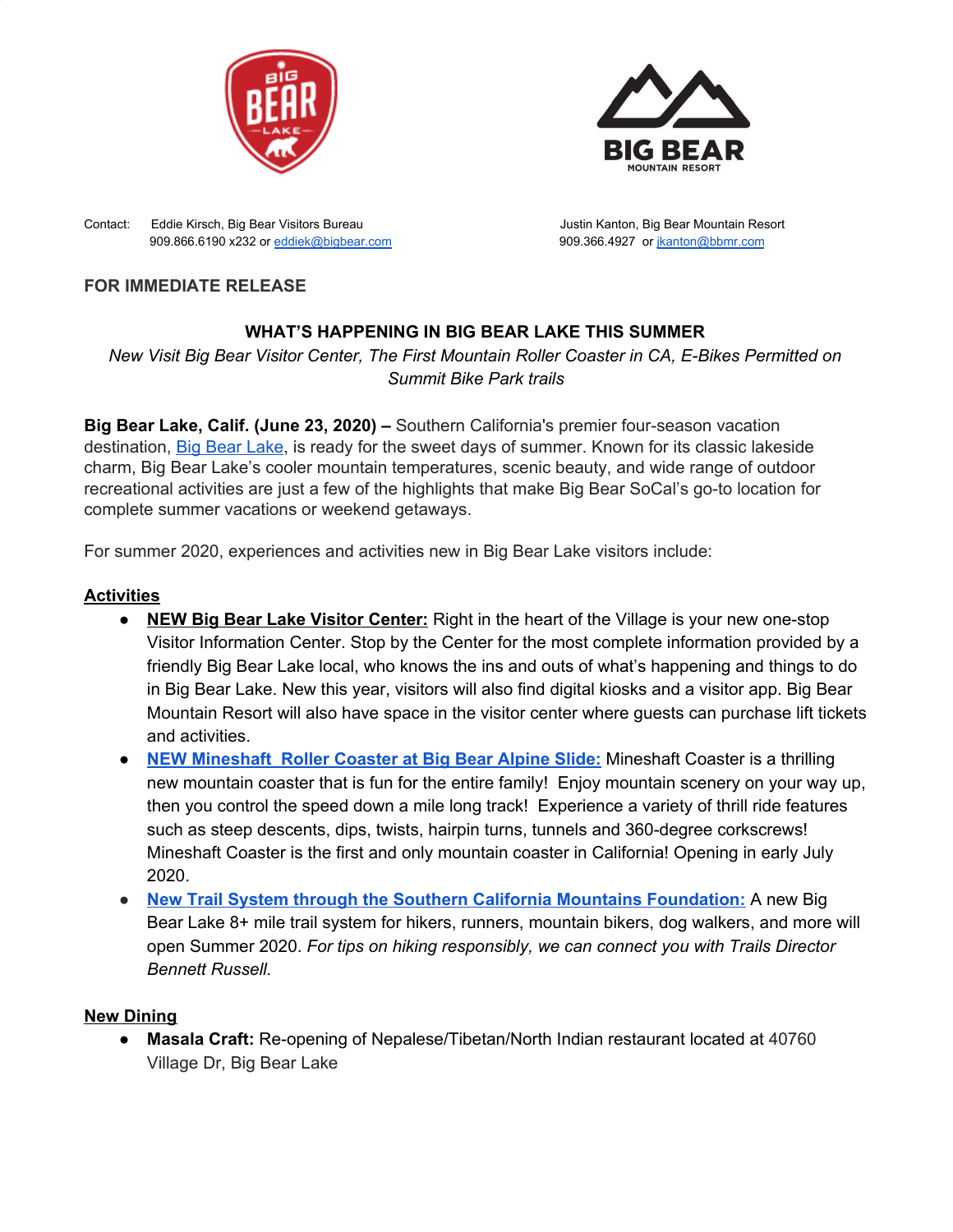



Contact: Eddie Kirsch, Big Bear Visitors Bureau Justin Kanton, Big Bear Mountain Resort 909.866.6190 x232 or [eddiek@bigbear.com](mailto:eddiek@bigbear.com) 909.366.4927 or [jkanton@bbmr.com](mailto:jkanton@bbmr.com)

## **FOR IMMEDIATE RELEASE**

# **WHAT'S HAPPENING IN BIG BEAR LAKE THIS SUMMER**

*New Visit Big Bear Visitor Center, The First Mountain Roller Coaster in CA, E-Bikes Permitted on Summit Bike Park trails*

**Big Bear Lake, Calif. (June 23, 2020) –** Southern California's premier four-season vacation destination, Big Bear [Lake](https://www.bigbear.com/), is ready for the sweet days of summer. Known for its classic lakeside charm, Big Bear Lake's cooler mountain temperatures, scenic beauty, and wide range of outdoor recreational activities are just a few of the highlights that make Big Bear SoCal's go-to location for complete summer vacations or weekend getaways.

For summer 2020, experiences and activities new in Big Bear Lake visitors include:

### **Activities**

- **NEW Big Bear Lake Visitor Center:** Right in the heart of the Village is your new one-stop Visitor Information Center. Stop by the Center for the most complete information provided by a friendly Big Bear Lake local, who knows the ins and outs of what's happening and things to do in Big Bear Lake. New this year, visitors will also find digital kiosks and a visitor app. Big Bear Mountain Resort will also have space in the visitor center where guests can purchase lift tickets and activities.
- **NEW [Mineshaft](http://alpineslidebigbear.com/MineshaftCoaster.html) Roller Coaster at Big Bear Alpine Slide[:](http://alpineslidebigbear.com/MineshaftCoaster.html)** Mineshaft Coaster is a thrilling new mountain coaster that is fun for the entire family! Enjoy mountain scenery on your way up, then you control the speed down a mile long track! Experience a variety of thrill ride features such as steep descents, dips, twists, hairpin turns, tunnels and 360-degree corkscrews! Mineshaft Coaster is the first and only mountain coaster in California! Opening in early July 2020.
- **New Trail System through the Southern California Mountains [Foundation:](https://trailsfoundation.org/)** A new Big Bear Lake 8+ mile trail system for hikers, runners, mountain bikers, dog walkers, and more will open Summer 2020. *For tips on hiking responsibly, we can connect you with Trails Director Bennett Russell.*

## **New Dining**

**● Masala Craft:** Re-opening of Nepalese/Tibetan/North Indian restaurant located at 40760 Village Dr, Big Bear Lake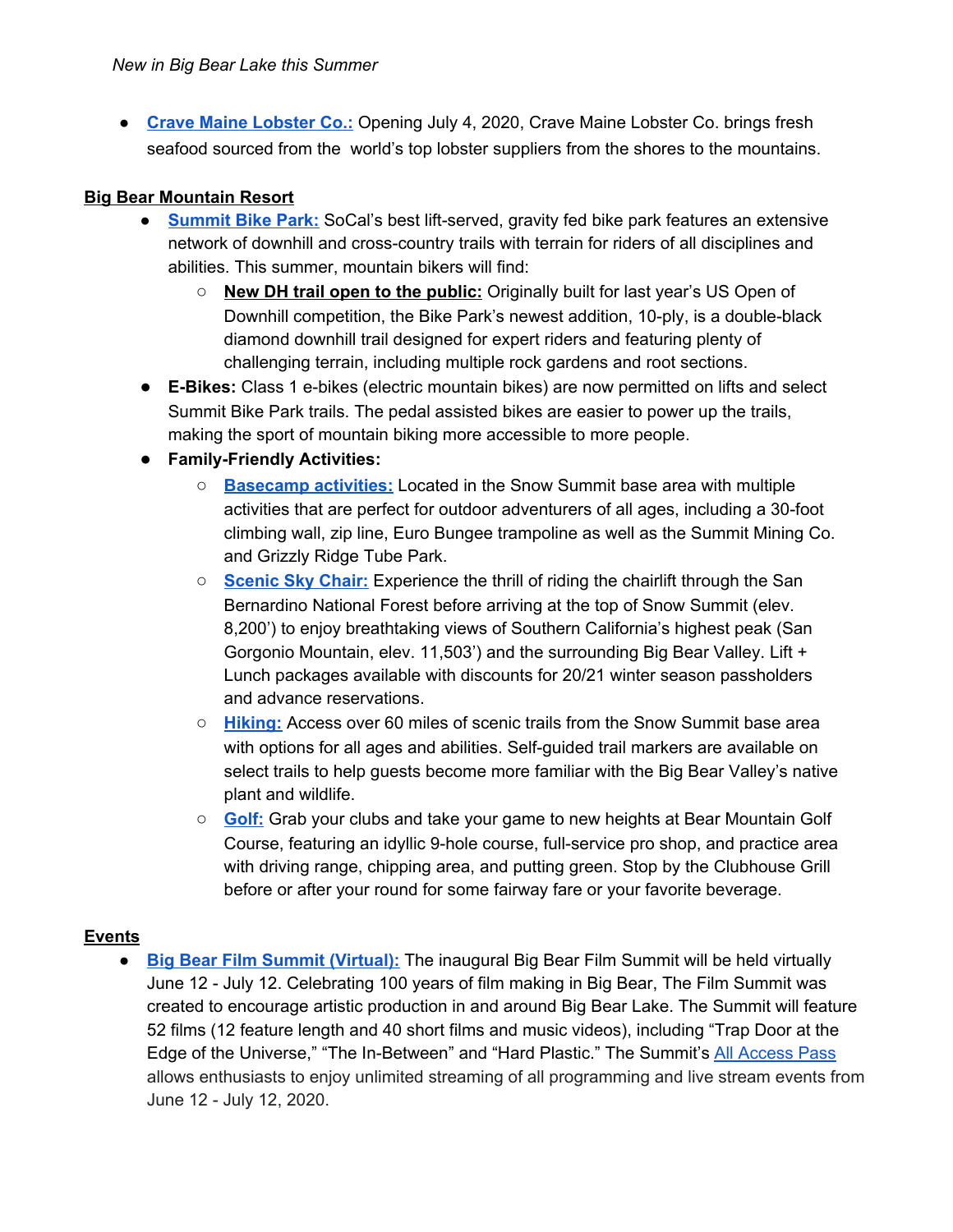● **Crave Maine [Lobster](https://www.cravemainelobsterco.com/) Co.:** Opening July 4, 2020, Crave Maine Lobster Co. brings fresh seafood sourced from the world's top lobster suppliers from the shores to the mountains.

### **Big Bear Mountain Resort**

- **[Summit](https://www.bigbearmountainresort.com/summer/mountain-biking/mountain-biking/downhill-bike-park) Bike Park:** SoCal's best lift-served, gravity fed bike park features an extensive network of downhill and cross-country trails with terrain for riders of all disciplines and abilities. This summer, mountain bikers will find:
	- **New DH trail open to the public:** Originally built for last year's US Open of Downhill competition, the Bike Park's newest addition, 10-ply, is a double-black diamond downhill trail designed for expert riders and featuring plenty of challenging terrain, including multiple rock gardens and root sections.
- **E-Bikes:** Class 1 e-bikes (electric mountain bikes) are now permitted on lifts and select Summit Bike Park trails. The pedal assisted bikes are easier to power up the trails, making the sport of mountain biking more accessible to more people.
- **● Family-Friendly Activities:**
	- **[Basecamp](https://www.bigbearmountainresort.com/summer/plan-a-trip/purchase/basecamp) activities:** Located in the Snow Summit base area with multiple activities that are perfect for outdoor adventurers of all ages, including a 30-foot climbing wall, zip line, Euro Bungee trampoline as well as the Summit Mining Co. and Grizzly Ridge Tube Park.
	- **[Scenic](https://www.bigbearmountainresort.com/summer/plan-a-trip/purchase/scenic-sky-chair-tickets) Sky Chair:** Experience the thrill of riding the chairlift through the San Bernardino National Forest before arriving at the top of Snow Summit (elev. 8,200') to enjoy breathtaking views of Southern California's highest peak (San Gorgonio Mountain, elev. 11,503') and the surrounding Big Bear Valley. Lift + Lunch packages available with discounts for 20/21 winter season passholders and advance reservations.
	- **[Hiking:](https://www.bigbearmountainresort.com/summer/things-to-do/summer-activities/hiking)** Access over 60 miles of scenic trails from the Snow Summit base area with options for all ages and abilities. Self-guided trail markers are available on select trails to help guests become more familiar with the Big Bear Valley's native plant and wildlife.
	- **[Golf:](https://www.bigbearmountainresort.com/summer/golf/golf-course)** Grab your clubs and take your game to new heights at Bear Mountain Golf Course, featuring an idyllic 9-hole course, full-service pro shop, and practice area with driving range, chipping area, and putting green. Stop by the Clubhouse Grill before or after your round for some fairway fare or your favorite beverage.

#### **Events**

**● Big Bear Film Summit [\(Virtual\):](https://bigbearfilmsummit2020.eventive.org/welcome)** The inaugural Big Bear Film Summit will be held virtually June 12 - July 12. Celebrating 100 years of film making in Big Bear, The Film Summit was created to encourage artistic production in and around Big Bear Lake. The Summit will feature 52 films (12 feature length and 40 short films and music videos), including "Trap Door at the Edge of the Universe," "The In-Between" and "Hard Plastic." The Summit's All [Access](https://bigbearfilmsummit2020.eventive.org/passes/buy) Pass allows enthusiasts to enjoy unlimited streaming of all programming and live stream events from June 12 - July 12, 2020.